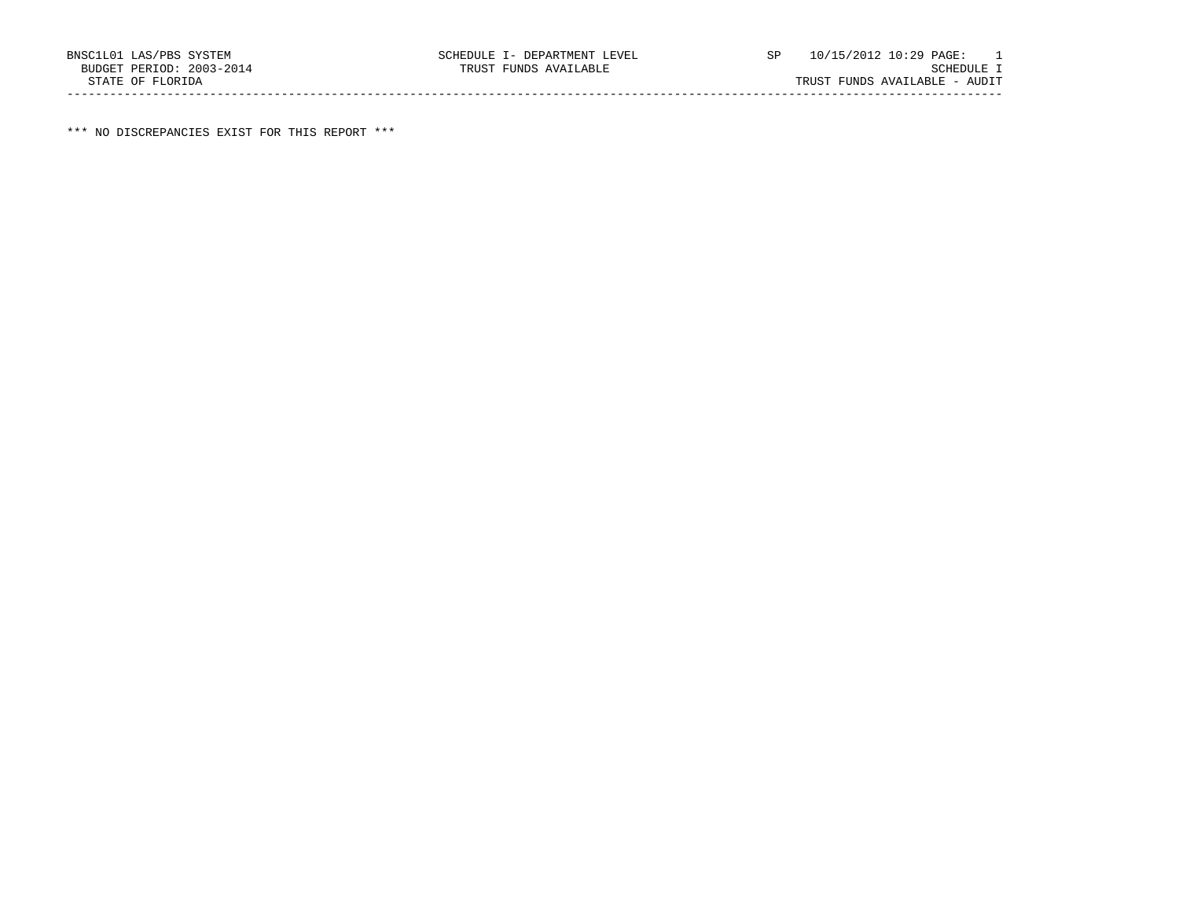\*\*\* NO DISCREPANCIES EXIST FOR THIS REPORT \*\*\*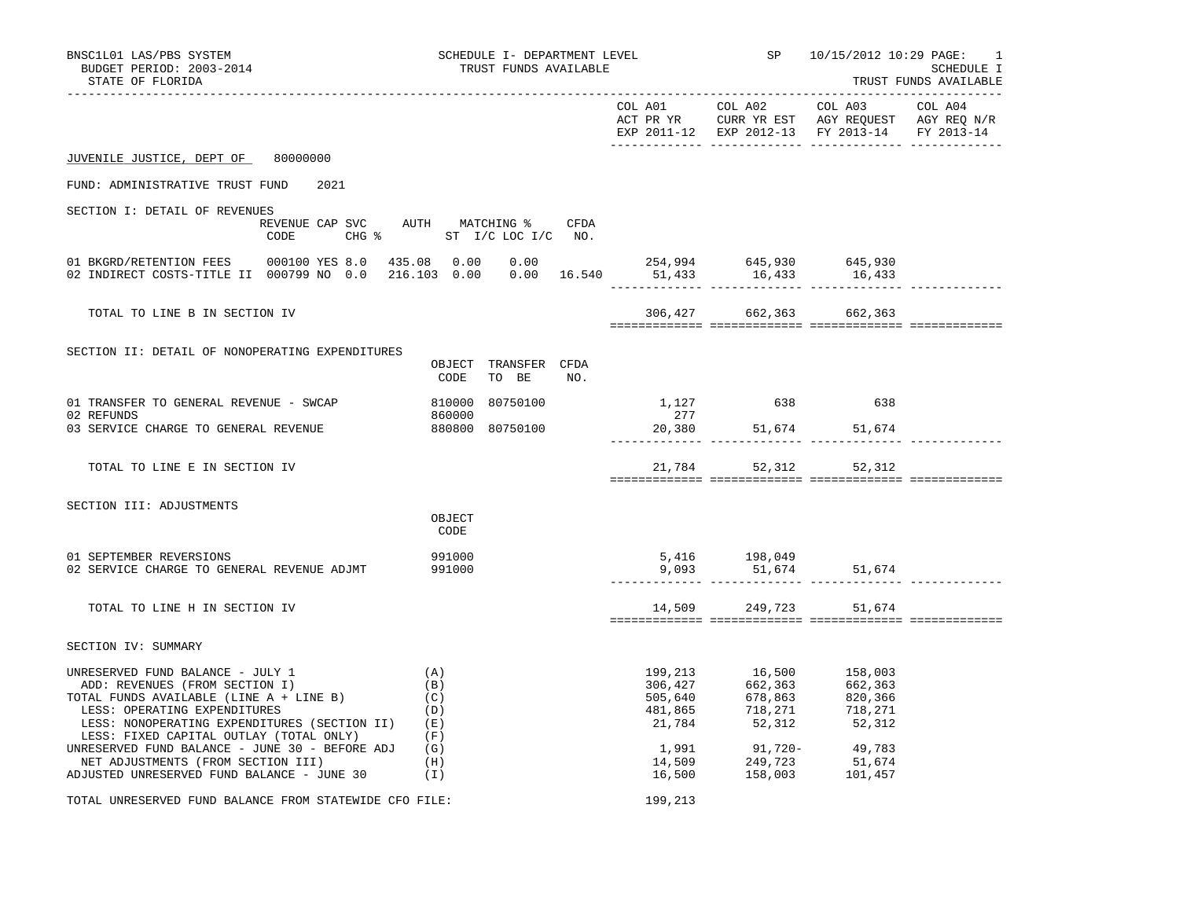| BNSC1L01 LAS/PBS SYSTEM<br>BUDGET PERIOD: 2003-2014<br>STATE OF FLORIDA                                                                                                                                                                                                                              | SCHEDULE I- DEPARTMENT LEVEL<br>TRUST FUNDS AVAILABLE            |         |                                                                                                                                                                                                           | SP 10/15/2012 10:29 PAGE:                                                                      | -1<br>SCHEDULE I<br>TRUST FUNDS AVAILABLE |
|------------------------------------------------------------------------------------------------------------------------------------------------------------------------------------------------------------------------------------------------------------------------------------------------------|------------------------------------------------------------------|---------|-----------------------------------------------------------------------------------------------------------------------------------------------------------------------------------------------------------|------------------------------------------------------------------------------------------------|-------------------------------------------|
|                                                                                                                                                                                                                                                                                                      |                                                                  |         | COL A01 COL A02 COL A03                                                                                                                                                                                   | ACT PR YR CURR YR EST AGY REQUEST AGY REQ N/R<br>EXP 2011-12 EXP 2012-13 FY 2013-14 FY 2013-14 | COL A04                                   |
| JUVENILE JUSTICE, DEPT OF 80000000                                                                                                                                                                                                                                                                   |                                                                  |         |                                                                                                                                                                                                           |                                                                                                |                                           |
| FUND: ADMINISTRATIVE TRUST FUND<br>2021                                                                                                                                                                                                                                                              |                                                                  |         |                                                                                                                                                                                                           |                                                                                                |                                           |
| SECTION I: DETAIL OF REVENUES<br>CODE                                                                                                                                                                                                                                                                | REVENUE CAP SVC AUTH MATCHING % CFDA<br>CHG % ST I/C LOC I/C NO. |         |                                                                                                                                                                                                           |                                                                                                |                                           |
| 01 BAGALYARIENIION FEED 000799 NO 0.0 216.103 0.00 0.00 16.540 51,433 16,433 16,433 16,433 16,433                                                                                                                                                                                                    |                                                                  |         |                                                                                                                                                                                                           |                                                                                                |                                           |
| TOTAL TO LINE B IN SECTION IV                                                                                                                                                                                                                                                                        |                                                                  |         | 306,427 662,363 662,363                                                                                                                                                                                   |                                                                                                |                                           |
| SECTION II: DETAIL OF NONOPERATING EXPENDITURES                                                                                                                                                                                                                                                      | OBJECT TRANSFER CFDA<br>CODE<br>TO BE<br>NO.                     |         |                                                                                                                                                                                                           |                                                                                                |                                           |
| 01 TRANSFER TO GENERAL REVENUE - SWCAP<br>02 REFUNDS<br>03 SERVICE CHARGE TO GENERAL REVENUE                                                                                                                                                                                                         | 810000 80750100<br>880800 80750100                               | 277     | 1,127 638 638<br>$20,380$ $51,674$ $51,674$                                                                                                                                                               |                                                                                                |                                           |
|                                                                                                                                                                                                                                                                                                      |                                                                  |         |                                                                                                                                                                                                           |                                                                                                |                                           |
| TOTAL TO LINE E IN SECTION IV                                                                                                                                                                                                                                                                        |                                                                  |         | 21,784 52,312 52,312                                                                                                                                                                                      |                                                                                                |                                           |
| SECTION III: ADJUSTMENTS                                                                                                                                                                                                                                                                             | OBJECT<br>CODE                                                   |         |                                                                                                                                                                                                           |                                                                                                |                                           |
| 01 SEPTEMBER REVERSIONS<br>02 SERVICE CHARGE TO GENERAL REVENUE ADJMT                                                                                                                                                                                                                                | 991000<br>991000                                                 |         | 5,416 198,049<br>9,093 51,674                                                                                                                                                                             | $51,674$ $51,674$                                                                              |                                           |
| TOTAL TO LINE H IN SECTION IV                                                                                                                                                                                                                                                                        |                                                                  |         |                                                                                                                                                                                                           | 14,509 249,723 51,674                                                                          |                                           |
| SECTION IV: SUMMARY                                                                                                                                                                                                                                                                                  |                                                                  |         |                                                                                                                                                                                                           |                                                                                                |                                           |
| UNRESERVED FUND BALANCE - JULY 1<br>ADD: REVENUES (FROM SECTION I)<br>TOTAL FUNDS AVAILABLE (LINE A + LINE B)<br>LESS: OPERATING EXPENDITURES<br>LESS: NONOPERATING EXPENDITURES (SECTION II) (E)<br>LESS: FIXED CAPITAL OUTLAY (TOTAL ONLY)<br>UNRESERVED FUND BALANCE - JUNE 30 - BEFORE ADJ $(G)$ | (A)<br>(B)<br>(C)<br>(D)<br>(F)                                  |         | $\begin{array}{cccc} 199, 213 & 16, 500 & 158, 003 \\ 306, 427 & 662, 363 & 662, 363 \\ 505, 640 & 678, 863 & 820, 366 \\ 481, 865 & 718, 271 & 718, 271 \\ 21, 784 & 52, 312 & 52, 312 \end{array}$      |                                                                                                |                                           |
| NET ADJUSTMENTS (FROM SECTION III) (H)<br>ADJUSTED UNRESERVED FUND BALANCE - JUNE 30 $(1)$                                                                                                                                                                                                           |                                                                  |         | $\begin{array}{cccc} 1\, ,991 & \qquad & 91\, ,720- & \qquad & 49\, ,783 \\ 14\, ,509 & \qquad & 249\, ,723 & \qquad & 51\, ,674 \\ 16\, ,500 & \qquad & 158\, ,003 & \qquad & 101\, ,457 \\ \end{array}$ |                                                                                                |                                           |
| TOTAL UNRESERVED FUND BALANCE FROM STATEWIDE CFO FILE:                                                                                                                                                                                                                                               |                                                                  | 199,213 |                                                                                                                                                                                                           |                                                                                                |                                           |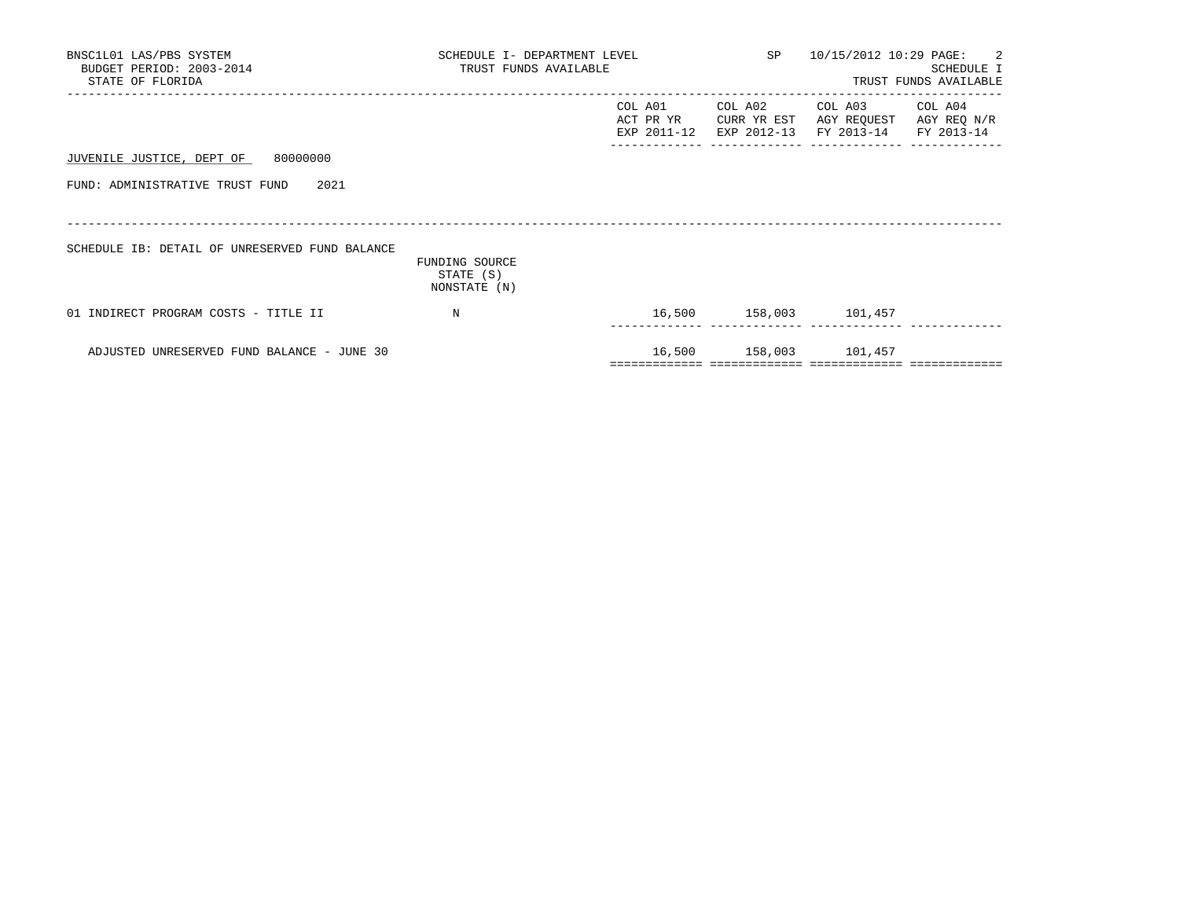| BNSC1L01 LAS/PBS SYSTEM<br>BUDGET PERIOD: 2003-2014<br>STATE OF FLORIDA | SCHEDULE I- DEPARTMENT LEVEL<br>TRUST FUNDS AVAILABLE |                                     | SP 10/15/2012 10:29 PAGE: 2 | SCHEDULE I<br>TRUST FUNDS AVAILABLE                         |                        |
|-------------------------------------------------------------------------|-------------------------------------------------------|-------------------------------------|-----------------------------|-------------------------------------------------------------|------------------------|
|                                                                         |                                                       | COL A01<br>ACT PR YR<br>EXP 2011-12 | COL A02<br>CURR YR EST      | COL A03<br>AGY REQUEST<br>EXP 2012-13 FY 2013-14 FY 2013-14 | COL A04<br>AGY REQ N/R |
| JUVENILE JUSTICE, DEPT OF 80000000                                      |                                                       |                                     |                             |                                                             |                        |
| FUND: ADMINISTRATIVE TRUST FUND 2021                                    |                                                       |                                     |                             |                                                             |                        |
|                                                                         |                                                       |                                     |                             |                                                             |                        |
| SCHEDULE IB: DETAIL OF UNRESERVED FUND BALANCE                          | FUNDING SOURCE<br>STATE (S)<br>NONSTATE (N)           |                                     |                             |                                                             |                        |
| 01 INDIRECT PROGRAM COSTS - TITLE II                                    | $_{\rm N}$                                            |                                     |                             | 16,500 158,003 101,457                                      |                        |
| ADJUSTED UNRESERVED FUND BALANCE - JUNE 30                              |                                                       |                                     |                             | 16,500 158,003 101,457                                      |                        |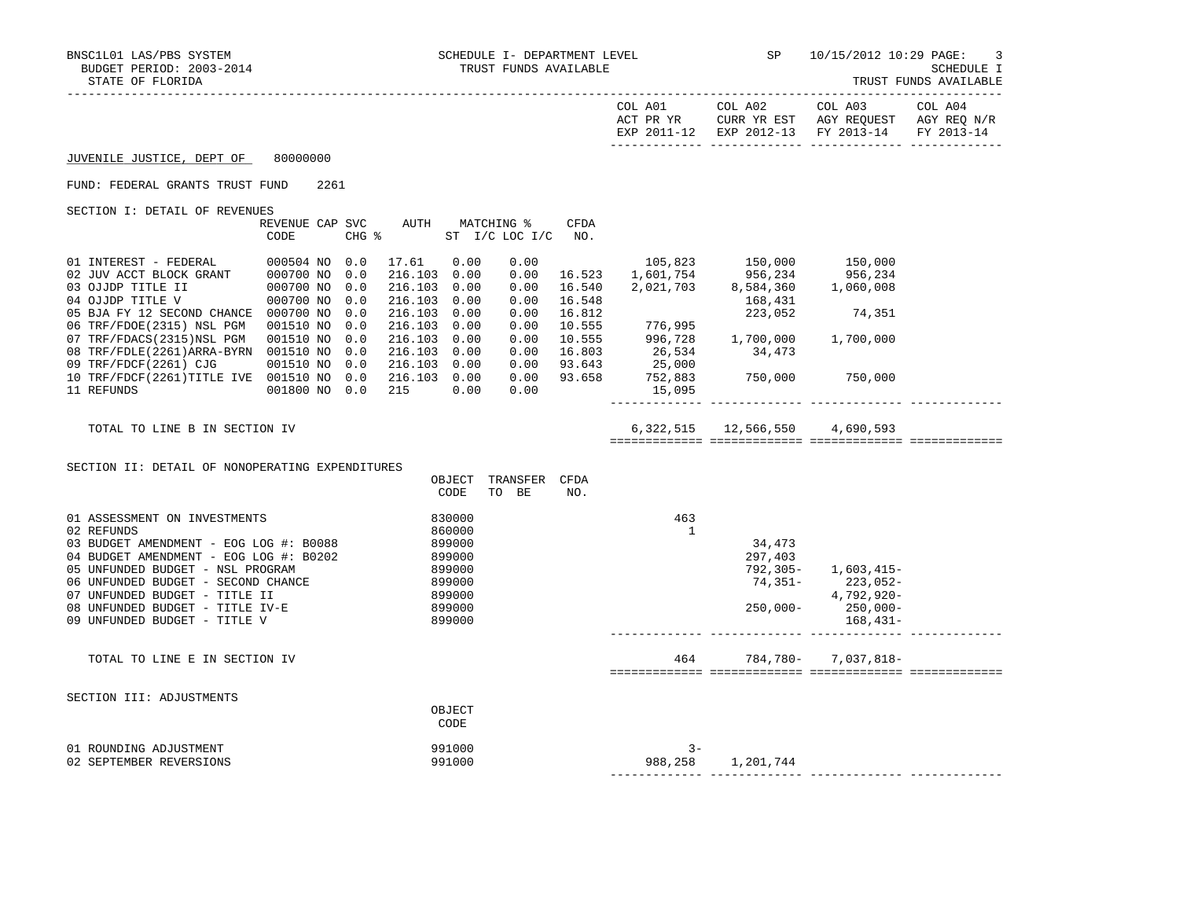| boboni fintiop:<br>STATE OF FLORIDA                                                                                                                                                                                                                                                                          |                                |                                                                                                                            |                                       |               |                       |                                                                                                                                                                           |                                                                                                                                | ----------<br>TRUST FUNDS AVAILABLE |
|--------------------------------------------------------------------------------------------------------------------------------------------------------------------------------------------------------------------------------------------------------------------------------------------------------------|--------------------------------|----------------------------------------------------------------------------------------------------------------------------|---------------------------------------|---------------|-----------------------|---------------------------------------------------------------------------------------------------------------------------------------------------------------------------|--------------------------------------------------------------------------------------------------------------------------------|-------------------------------------|
|                                                                                                                                                                                                                                                                                                              |                                |                                                                                                                            |                                       |               |                       | COL A01 COL A02                                                                                                                                                           | COL A03<br>ACT PR YR $\,$ CURR YR EST $\,$ AGY REQUEST $\,$ AGY REQ $\rm N/R$<br>EXP 2011-12 EXP 2012-13 FY 2013-14 FY 2013-14 | COL A04                             |
| JUVENILE JUSTICE, DEPT OF 80000000                                                                                                                                                                                                                                                                           |                                |                                                                                                                            |                                       |               |                       |                                                                                                                                                                           |                                                                                                                                |                                     |
| FUND: FEDERAL GRANTS TRUST FUND                                                                                                                                                                                                                                                                              | 2261                           |                                                                                                                            |                                       |               |                       |                                                                                                                                                                           |                                                                                                                                |                                     |
| SECTION I: DETAIL OF REVENUES                                                                                                                                                                                                                                                                                | REVENUE CAP SVC<br>CODE        | CHG % ST I/C LOC I/C NO.                                                                                                   | AUTH MATCHING %                       | CFDA          |                       |                                                                                                                                                                           |                                                                                                                                |                                     |
| 01 INTEREST - FEDERAL $000504$ NO 0.0<br>02 JUV ACCT BLOCK GRANT 000700 NO 0.0<br>03 OJJDP TITLE II<br>04 OJJDP TITLE V<br>05 BJA FY 12 SECOND CHANCE 000700 NO 0.0<br>06 TRF/FDOE(2315) NSL PGM 001510 NO 0.0<br>07 TRF/FDACS(2315)NSL PGM   001510 NO   0.0<br>08 TRF/FDLE(2261)ARRA-BYRN 001510 NO 0.0    | 000700 NO 0.0<br>000700 NO 0.0 | 17.61 0.00<br>216.103 0.00<br>216.103 0.00<br>216.103 0.00<br>216.103 0.00<br>216.103 0.00<br>216.103 0.00<br>216.103 0.00 | 0.00<br>0.00<br>0.00<br>0.00<br>0.00  |               |                       | $\begin{array}{cccc} 0.00 & 16.523 & 150,000 & 150,000 \\ 0.00 & 16.523 & 1,601,754 & 956,234 & 956,234 \\ 0.00 & 16.540 & 2,021,703 & 8,584,360 & 1,060,008 \end{array}$ |                                                                                                                                |                                     |
| 09 TRF/FDCF(2261) CJG 001510 NO 0.0<br>10 TRF/FDCF(2261)TITLE IVE 001510 NO 0.0 216.103 0.00<br>11 REFUNDS                                                                                                                                                                                                   | 001800 NO 0.0                  | 216.103 0.00<br>215                                                                                                        | 0.00<br>0.00<br>0.00                  | $0.00$ 93.658 |                       |                                                                                                                                                                           |                                                                                                                                |                                     |
| TOTAL TO LINE B IN SECTION IV                                                                                                                                                                                                                                                                                |                                |                                                                                                                            |                                       |               |                       | 6,322,515 12,566,550 4,690,593                                                                                                                                            |                                                                                                                                |                                     |
| SECTION II: DETAIL OF NONOPERATING EXPENDITURES                                                                                                                                                                                                                                                              |                                |                                                                                                                            | OBJECT TRANSFER CFDA<br>CODE<br>TO BE | NO.           |                       |                                                                                                                                                                           |                                                                                                                                |                                     |
| 01 ASSESSMENT ON INVESTMENTS<br>02 REFUNDS<br>03 BUDGET AMENDMENT - EOG LOG #: B0088<br>04 BUDGET AMENDMENT - EOG LOG #: B0202<br>05 UNFUNDED BUDGET - NSL PROGRAM<br>06 UNFUNDED BUDGET - SECOND CHANCE<br>07 UNFUNDED BUDGET - TITLE II<br>08 UNFUNDED BUDGET - TITLE IV-E<br>09 UNFUNDED BUDGET - TITLE V |                                | 899000<br>899000<br>899000<br>899000<br>899000                                                                             | 830000<br>860000<br>899000<br>899000  |               | 463<br>$\overline{1}$ | 34,473<br>297,403                                                                                                                                                         | 792,305- 1,603,415-<br>74,351-223,052-<br>4,792,920-<br>$250,000 - 250,000 -$<br>168,431-                                      |                                     |
| TOTAL TO LINE E IN SECTION IV                                                                                                                                                                                                                                                                                |                                |                                                                                                                            |                                       |               |                       |                                                                                                                                                                           | 464 784, 780 - 7, 037, 818 -                                                                                                   |                                     |
| SECTION III: ADJUSTMENTS                                                                                                                                                                                                                                                                                     |                                |                                                                                                                            | OBJECT<br>CODE                        |               |                       |                                                                                                                                                                           |                                                                                                                                |                                     |
| 01 ROUNDING ADJUSTMENT<br>02 SEPTEMBER REVERSIONS                                                                                                                                                                                                                                                            |                                |                                                                                                                            | 991000<br>991000                      |               | $3 -$<br>988,258      | 1,201,744                                                                                                                                                                 |                                                                                                                                |                                     |

02 SEPTEMBER REVERSIONS 991000 988,258 1,201,744

------------- ------------- ------------- -------------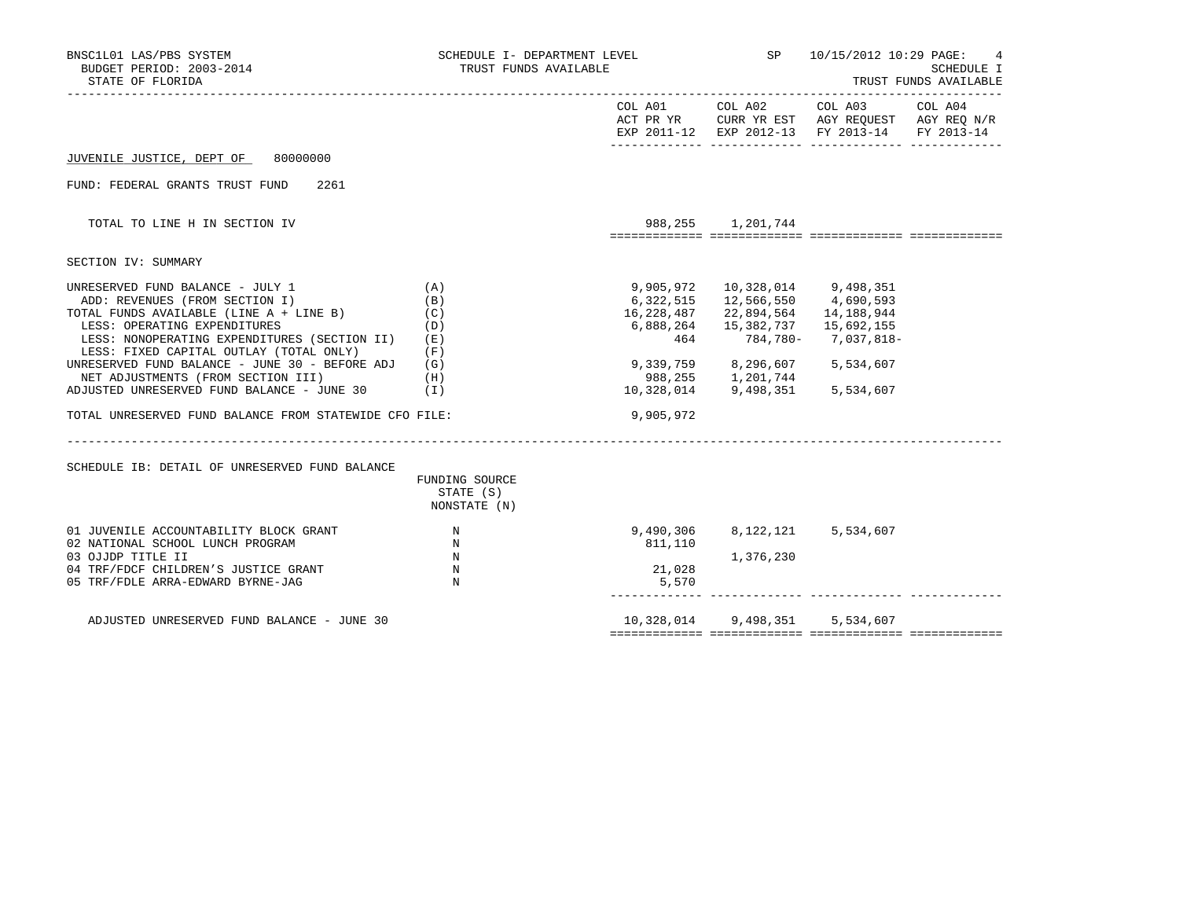| BNSC1L01 LAS/PBS SYSTEM<br>BUDGET PERIOD: 2003-2014<br>STATE OF FLORIDA                                                                                                                                                                                                                                                                                                                                                                                                                                         | SCHEDULE I- DEPARTMENT LEVEL<br>TRUST FUNDS AVAILABLE                                      |                                            |                                                                                                                                                                                                                   | SP 10/15/2012 10:29 PAGE:                                                                                                         | $\overline{4}$<br>SCHEDULE I<br>TRUST FUNDS AVAILABLE |
|-----------------------------------------------------------------------------------------------------------------------------------------------------------------------------------------------------------------------------------------------------------------------------------------------------------------------------------------------------------------------------------------------------------------------------------------------------------------------------------------------------------------|--------------------------------------------------------------------------------------------|--------------------------------------------|-------------------------------------------------------------------------------------------------------------------------------------------------------------------------------------------------------------------|-----------------------------------------------------------------------------------------------------------------------------------|-------------------------------------------------------|
|                                                                                                                                                                                                                                                                                                                                                                                                                                                                                                                 |                                                                                            |                                            |                                                                                                                                                                                                                   | COL A01 COL A02 COL A03 COL A04<br>ACT PR YR CURR YR EST AGY REQUEST AGY REQ N/R<br>EXP 2011-12 EXP 2012-13 FY 2013-14 FY 2013-14 |                                                       |
| 80000000<br>JUVENILE JUSTICE, DEPT OF                                                                                                                                                                                                                                                                                                                                                                                                                                                                           |                                                                                            |                                            |                                                                                                                                                                                                                   |                                                                                                                                   |                                                       |
| FUND: FEDERAL GRANTS TRUST FUND<br>2261                                                                                                                                                                                                                                                                                                                                                                                                                                                                         |                                                                                            |                                            |                                                                                                                                                                                                                   |                                                                                                                                   |                                                       |
| TOTAL TO LINE H IN SECTION IV                                                                                                                                                                                                                                                                                                                                                                                                                                                                                   |                                                                                            |                                            | 988, 255 1, 201, 744                                                                                                                                                                                              |                                                                                                                                   |                                                       |
| SECTION IV: SUMMARY                                                                                                                                                                                                                                                                                                                                                                                                                                                                                             |                                                                                            |                                            |                                                                                                                                                                                                                   |                                                                                                                                   |                                                       |
| UNRESERVED FUND BALANCE - JULY 1<br>(A)<br>ADD: REVENUES (FROM SECTION I)<br>TOTAL FUNDS AVAILABLE (LINE A + LINE B)<br>LESS: OPERATING EXPENDITURES<br>LESS: NONOPERATING EXPENDITURES (SECTION II) (E)<br>LESS: FIXED CAPITAL OUTLAY (TOTAL ONLY)<br>UNRESERVED FUND BALANCE - JUNE 30 - BEFORE ADJ $(G)$<br>NET ADJUSTMENTS (FROM SECTION III)<br>ADJUSTED UNRESERVED FUND BALANCE - JUNE 30 (I)<br>TOTAL UNRESERVED FUND BALANCE FROM STATEWIDE CFO FILE:<br>SCHEDULE IB: DETAIL OF UNRESERVED FUND BALANCE | (B)<br>(C)<br>(D)<br>(F)<br>(H)<br>FUNDING SOURCE<br>STATE (S)<br>NONSTATE (N)             | 9,905,972<br>6,322,515<br>464<br>9,905,972 | 10,328,014 9,498,351<br>12,566,550 4,690,593<br>16, 228, 487 22, 894, 564 14, 188, 944<br>6,888,264 15,382,737 15,692,155<br>9,339,759 8,296,607 5,534,607<br>988,255 1,201,744<br>10,328,014 9,498,351 5,534,607 | 784,780- 7,037,818-                                                                                                               |                                                       |
| 01 JUVENILE ACCOUNTABILITY BLOCK GRANT<br>02 NATIONAL SCHOOL LUNCH PROGRAM<br>03 OJJDP TITLE II<br>04 TRF/FDCF CHILDREN'S JUSTICE GRANT<br>05 TRF/FDLE ARRA-EDWARD BYRNE-JAG                                                                                                                                                                                                                                                                                                                                    | $\mathbb N$<br>$\mathbf N$<br>N<br>$\begin{array}{c} \mathbf{N} \\ \mathbf{N} \end{array}$ | 811,110<br>21,028<br>5,570                 | $9,490,306$ $8,122,121$ $5,534,607$<br>1,376,230                                                                                                                                                                  |                                                                                                                                   |                                                       |
| ADJUSTED UNRESERVED FUND BALANCE - JUNE 30                                                                                                                                                                                                                                                                                                                                                                                                                                                                      |                                                                                            |                                            | 10,328,014 9,498,351 5,534,607                                                                                                                                                                                    |                                                                                                                                   |                                                       |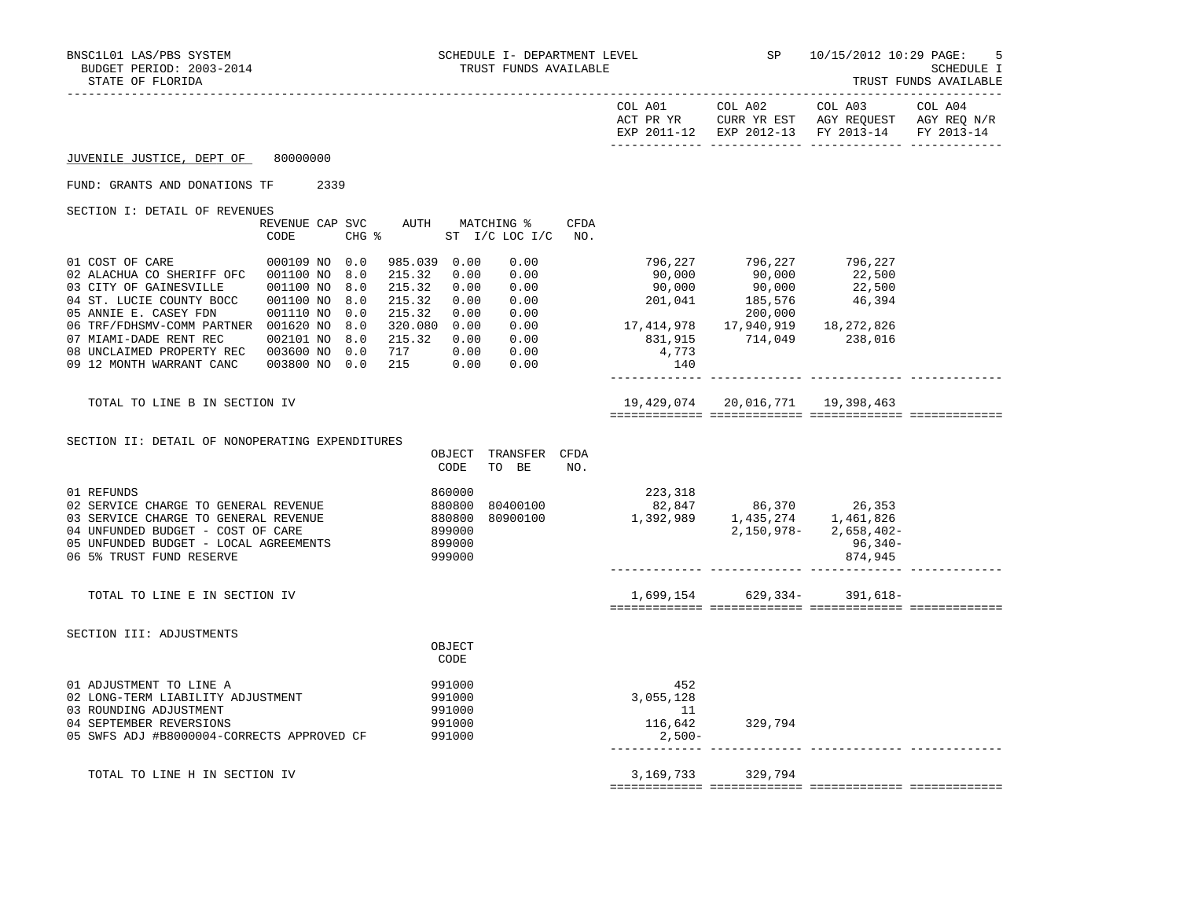|                                                                                                                                                                                                                                                                                                                                           |                                                        |                                                                                                             |              |                                         | EXP 2011-12 EXP 2012-13 FY 2013-14 FY 2013-14                                                                                                                                                                  |                    |  |
|-------------------------------------------------------------------------------------------------------------------------------------------------------------------------------------------------------------------------------------------------------------------------------------------------------------------------------------------|--------------------------------------------------------|-------------------------------------------------------------------------------------------------------------|--------------|-----------------------------------------|----------------------------------------------------------------------------------------------------------------------------------------------------------------------------------------------------------------|--------------------|--|
| JUVENILE JUSTICE, DEPT OF 80000000                                                                                                                                                                                                                                                                                                        |                                                        |                                                                                                             |              |                                         |                                                                                                                                                                                                                |                    |  |
| FUND: GRANTS AND DONATIONS TF 2339                                                                                                                                                                                                                                                                                                        |                                                        |                                                                                                             |              |                                         |                                                                                                                                                                                                                |                    |  |
| SECTION I: DETAIL OF REVENUES                                                                                                                                                                                                                                                                                                             | REVENUE CAP SVC<br>CODE                                | AUTH MATCHING %<br>$CHG$ $\approx$<br>ST I/C LOC I/C NO.                                                    | CFDA         |                                         |                                                                                                                                                                                                                |                    |  |
| 01 COST OF CARE<br>02 ALACHUA CO SHERIFF OFC 001100 NO<br>03 CITY OF GAINESVILLE 001100 NO<br>04 ST. LUCIE COUNTY BOCC 001100 NO<br>05 ANNIE E. CASEY FDN<br>06 TRF/FDHSMV-COMM PARTNER 001620 NO 8.0 320.080 0.00 0.00<br>07 MIAMI-DADE RENT REC 002101 NO 8.0 215.32 0.00 0.00<br>08 UNCLAIMED PROPERTY REC 003600 NO 0.0 717 0.00 0.00 | 000109 NO 0.0<br>8.0<br>8.0<br>8.0<br>001110 NO<br>0.0 | 985.039 0.00<br>0.00<br>215.32 0.00<br>215.32<br>0.00<br>0.00<br>215.32 0.00<br>0.00<br>215.32 0.00<br>0.00 | 0.00<br>0.00 | 4,773<br>140                            | 796, 227 796, 227 796, 227<br>90, 000 90, 000 22, 500<br>90, 000 90, 000 22, 500<br>201, 041 185, 576 46, 394<br>200,000<br>لان بان بان 200,000<br>18,272,826 17,940,919 18,272,826<br>238,016 114,049 238,016 |                    |  |
| TOTAL TO LINE B IN SECTION IV                                                                                                                                                                                                                                                                                                             |                                                        |                                                                                                             |              |                                         | 19,429,074 20,016,771 19,398,463                                                                                                                                                                               |                    |  |
| SECTION II: DETAIL OF NONOPERATING EXPENDITURES                                                                                                                                                                                                                                                                                           |                                                        | OBJECT TRANSFER CFDA<br>CODE<br>TO BE                                                                       | NO.          |                                         |                                                                                                                                                                                                                |                    |  |
| 01 REFUNDS<br>02 SERVICE CHARGE TO GENERAL REVENUE<br>03 SERVICE CHARGE TO GENERAL REVENUE<br>04 UNFUNDED BUDGET - COST OF CARE<br>05 UNFUNDED BUDGET - LOCAL AGREEMENTS<br>06 5% TRUST FUND RESERVE                                                                                                                                      |                                                        | 860000<br>880800<br>880800<br>899000<br>80400100<br>899000<br>999000                                        | 80900100     | 223,318                                 | $82,847$<br>1,392,989<br>1,392,989<br>2,150,978-<br>2,658,402-                                                                                                                                                 | 96,340-<br>874,945 |  |
| TOTAL TO LINE E IN SECTION IV                                                                                                                                                                                                                                                                                                             |                                                        |                                                                                                             |              |                                         | 1,699,154 629,334- 391,618-                                                                                                                                                                                    |                    |  |
| SECTION III: ADJUSTMENTS                                                                                                                                                                                                                                                                                                                  |                                                        | OBJECT<br>CODE                                                                                              |              |                                         |                                                                                                                                                                                                                |                    |  |
| 01 ADJUSTMENT TO LINE A<br>02 LONG-TERM LIABILITY ADJUSTMENT<br>03 ROUNDING ADJUSTMENT<br>04 SEPTEMBER REVERSIONS<br>05 SWFS ADJ #B8000004-CORRECTS APPROVED CF                                                                                                                                                                           |                                                        | 991000<br>991000<br>991000<br>991000<br>991000                                                              |              | 452<br>3,055,128<br>$\sim$ 11<br>2,500- | $116,642$ 329,794                                                                                                                                                                                              |                    |  |
| TOTAL TO LINE H IN SECTION IV                                                                                                                                                                                                                                                                                                             |                                                        |                                                                                                             |              |                                         | 3, 169, 733 329, 794                                                                                                                                                                                           |                    |  |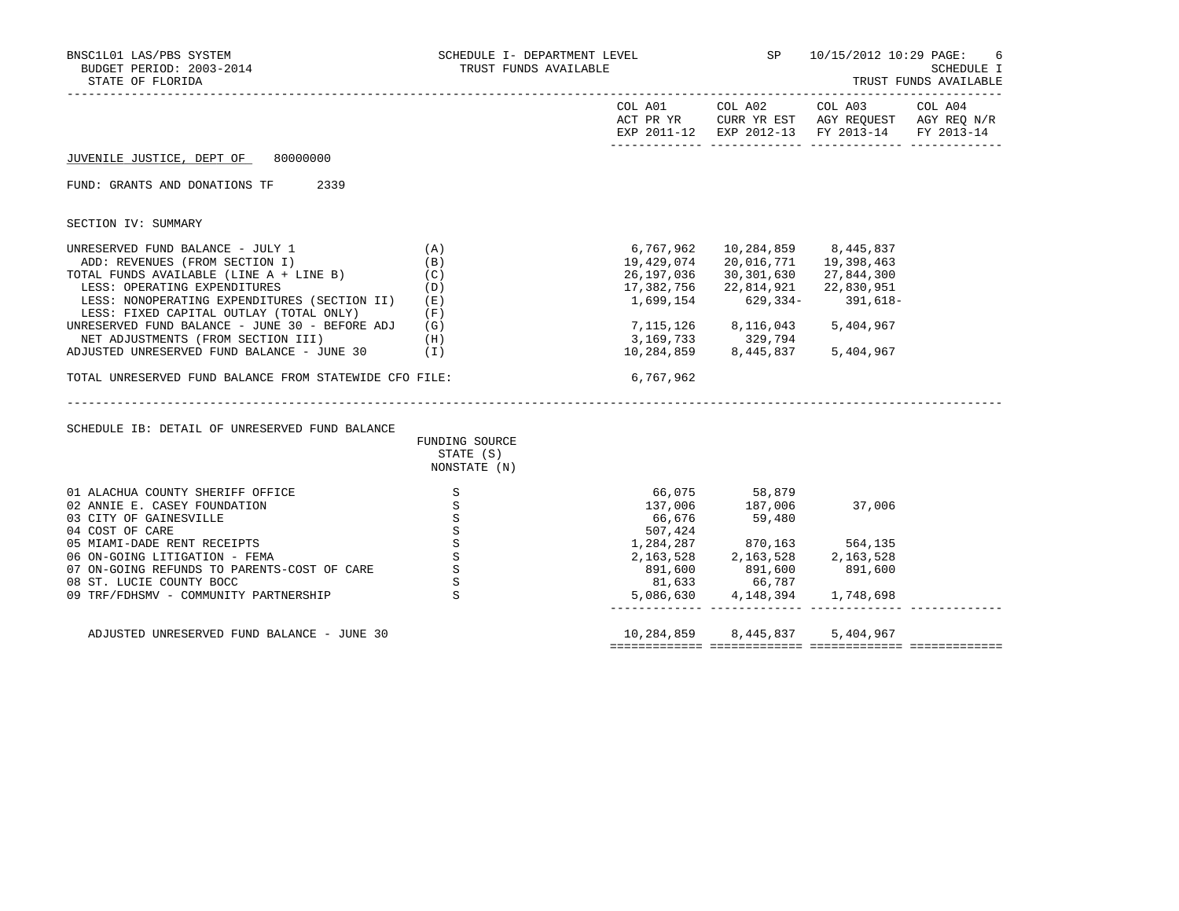| BNSC1L01 LAS/PBS SYSTEM<br>BUDGET PERIOD: 2003-2014<br>STATE OF FLORIDA                                                                                                                                                                                                                                                                                                                                                                                                                            | SCHEDULE I- DEPARTMENT LEVEL<br>TRUST FUNDS AVAILABLE                                               |                                      |                                                                                                                                                                                                                                                        | SP 10/15/2012 10:29 PAGE:                                                                              | 6<br>SCHEDULE I<br>TRUST FUNDS AVAILABLE |
|----------------------------------------------------------------------------------------------------------------------------------------------------------------------------------------------------------------------------------------------------------------------------------------------------------------------------------------------------------------------------------------------------------------------------------------------------------------------------------------------------|-----------------------------------------------------------------------------------------------------|--------------------------------------|--------------------------------------------------------------------------------------------------------------------------------------------------------------------------------------------------------------------------------------------------------|--------------------------------------------------------------------------------------------------------|------------------------------------------|
|                                                                                                                                                                                                                                                                                                                                                                                                                                                                                                    |                                                                                                     | COL A01                              |                                                                                                                                                                                                                                                        | COL A02 COL A03<br>ACT PR YR CURR YR EST AGY REQUEST AGY REQ N/R<br>EXP 2011-12 EXP 2012-13 FY 2013-14 | COL A04<br>FY 2013-14                    |
| JUVENILE JUSTICE, DEPT OF 80000000                                                                                                                                                                                                                                                                                                                                                                                                                                                                 |                                                                                                     |                                      |                                                                                                                                                                                                                                                        |                                                                                                        |                                          |
| FUND: GRANTS AND DONATIONS TF 2339                                                                                                                                                                                                                                                                                                                                                                                                                                                                 |                                                                                                     |                                      |                                                                                                                                                                                                                                                        |                                                                                                        |                                          |
| SECTION IV: SUMMARY                                                                                                                                                                                                                                                                                                                                                                                                                                                                                |                                                                                                     |                                      |                                                                                                                                                                                                                                                        |                                                                                                        |                                          |
| UNRESERVED FUND BALANCE - JULY 1<br>ADD: REVENUES (FROM SECTION I)<br>TOTAL FUNDS AVAILABLE (LINE A + LINE B)<br>LESS: OPERATING EXPENDITURES<br>LESS: NONOPERATING EXPENDITURES (SECTION II) (E)<br>LESS: FIXED CAPITAL OUTLAY (TOTAL ONLY)<br>UNRESERVED FUND BALANCE - JUNE 30 - BEFORE ADJ (G)<br>NET ADJUSTMENTS (FROM SECTION III)<br>ADJUSTED UNRESERVED FUND BALANCE - JUNE 30<br>TOTAL UNRESERVED FUND BALANCE FROM STATEWIDE CFO FILE:<br>SCHEDULE IB: DETAIL OF UNRESERVED FUND BALANCE | (A)<br>(B)<br>(C)<br>(D)<br>(F)<br>(H)<br>$(\top)$<br>FUNDING SOURCE<br>STATE (S)                   | 6,767,962<br>19,429,074<br>6,767,962 | 10,284,859 8,445,837<br>20,016,771 19,398,463<br>26,197,036 30,301,630 27,844,300<br>17,382,756 22,814,921 22,830,951<br>1,699,154 629,334- 391,618-<br>7, 115, 126 8, 116, 043 5, 404, 967<br>$3,169,733$ $329,794$<br>10,284,859 8,445,837 5,404,967 |                                                                                                        |                                          |
| 01 ALACHUA COUNTY SHERIFF OFFICE<br>02 ANNIE E. CASEY FOUNDATION<br>03 CITY OF GAINESVILLE<br>04 COST OF CARE<br>05 MIAMI-DADE RENT RECEIPTS<br>06 ON-GOING LITIGATION - FEMA<br>07 ON-GOING REFUNDS TO PARENTS-COST OF CARE<br>08 ST. LUCIE COUNTY BOCC<br>09 TRF/FDHSMV - COMMUNITY PARTNERSHIP                                                                                                                                                                                                  | NONSTATE (N)<br>S<br>$\mathbf S$<br>S<br>$\, \mathbb{S} \,$<br>S<br>$\,$ S<br>$\mathbf S$<br>S<br>S | 66,676<br>507,424                    | 66,075 58,879<br>137,006 187,006<br>59,480<br>$1,284,287$ 870,163 564,135<br>2,163,528<br>2,163,528<br>891,600 891,600 891,600<br>81,633 66,787<br>5,086,630 4,148,394 1,748,698                                                                       | 37,006                                                                                                 |                                          |
| ADJUSTED UNRESERVED FUND BALANCE - JUNE 30                                                                                                                                                                                                                                                                                                                                                                                                                                                         |                                                                                                     |                                      | 10,284,859 8,445,837 5,404,967                                                                                                                                                                                                                         |                                                                                                        |                                          |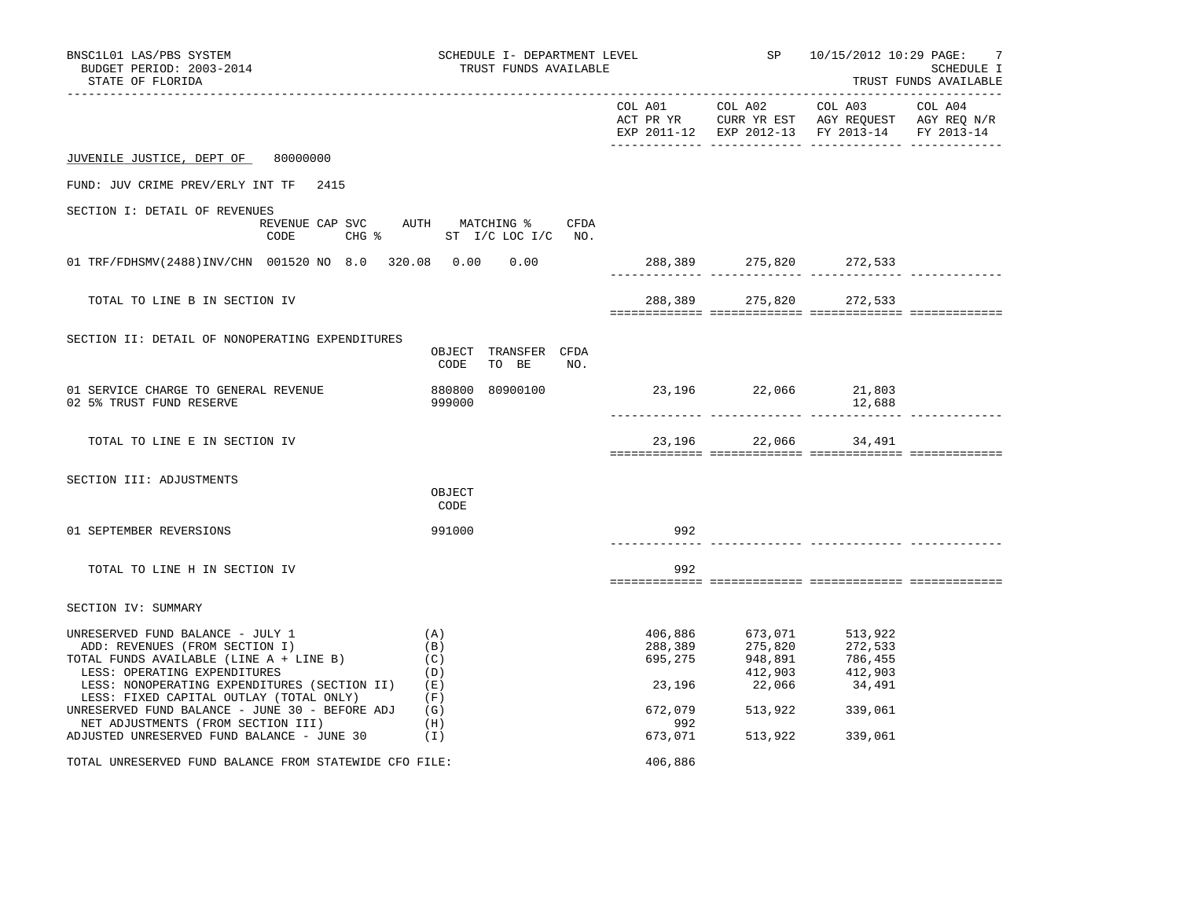| BNSC1L01 LAS/PBS SYSTEM<br>BUDGET PERIOD: 2003-2014<br>STATE OF FLORIDA                                                                                                                                                                                                                            |                                 | SCHEDULE I- DEPARTMENT LEVEL<br>TRUST FUNDS AVAILABLE<br>________________________________ |                         |                                                                                                                                   | SP 10/15/2012 10:29 PAGE:<br>-7<br>SCHEDULE I<br>TRUST FUNDS AVAILABLE |  |
|----------------------------------------------------------------------------------------------------------------------------------------------------------------------------------------------------------------------------------------------------------------------------------------------------|---------------------------------|-------------------------------------------------------------------------------------------|-------------------------|-----------------------------------------------------------------------------------------------------------------------------------|------------------------------------------------------------------------|--|
|                                                                                                                                                                                                                                                                                                    |                                 |                                                                                           |                         |                                                                                                                                   | EXP 2011-12 EXP 2012-13 FY 2013-14 FY 2013-14                          |  |
| JUVENILE JUSTICE, DEPT OF 80000000                                                                                                                                                                                                                                                                 |                                 |                                                                                           |                         |                                                                                                                                   |                                                                        |  |
| FUND: JUV CRIME PREV/ERLY INT TF 2415                                                                                                                                                                                                                                                              |                                 |                                                                                           |                         |                                                                                                                                   |                                                                        |  |
| SECTION I: DETAIL OF REVENUES<br>REVENUE CAP SVC AUTH MATCHING % CFDA<br>CHG % ST I/C LOC I/C NO.<br>CODE                                                                                                                                                                                          |                                 |                                                                                           |                         |                                                                                                                                   |                                                                        |  |
| 01 TRF/FDHSMV(2488)INV/CHN 001520 NO 8.0 320.08 0.00 0.00                                                                                                                                                                                                                                          |                                 |                                                                                           |                         |                                                                                                                                   | 288,389 275,820 272,533                                                |  |
| TOTAL TO LINE B IN SECTION IV                                                                                                                                                                                                                                                                      |                                 |                                                                                           |                         |                                                                                                                                   | 288,389 275,820 272,533                                                |  |
| SECTION II: DETAIL OF NONOPERATING EXPENDITURES                                                                                                                                                                                                                                                    | OBJECT TRANSFER CFDA<br>CODE    | TO BE<br>NO.                                                                              |                         |                                                                                                                                   |                                                                        |  |
| 01 SERVICE CHARGE TO GENERAL REVENUE<br>02 5% TRUST FUND RESERVE                                                                                                                                                                                                                                   | 880800 80900100<br>999000       |                                                                                           | 23, 196 22, 066 21, 803 |                                                                                                                                   | 12,688                                                                 |  |
| TOTAL TO LINE E IN SECTION IV                                                                                                                                                                                                                                                                      |                                 |                                                                                           |                         | 23,196 22,066 34,491                                                                                                              |                                                                        |  |
| SECTION III: ADJUSTMENTS                                                                                                                                                                                                                                                                           | OBJECT<br>CODE                  |                                                                                           |                         |                                                                                                                                   |                                                                        |  |
| 01 SEPTEMBER REVERSIONS                                                                                                                                                                                                                                                                            | 991000                          |                                                                                           | 992                     |                                                                                                                                   |                                                                        |  |
| TOTAL TO LINE H IN SECTION IV                                                                                                                                                                                                                                                                      |                                 |                                                                                           | 992                     |                                                                                                                                   |                                                                        |  |
| SECTION IV: SUMMARY                                                                                                                                                                                                                                                                                |                                 |                                                                                           |                         |                                                                                                                                   |                                                                        |  |
| UNRESERVED FUND BALANCE - JULY 1<br>ADD: REVENUES (FROM SECTION I)<br>TOTAL FUNDS AVAILABLE (LINE A + LINE B)<br>LESS: OPERATING EXPENDITURES<br>LESS: NONOPERATING EXPENDITURES (SECTION II) (E)<br>LESS: FIXED CAPITAL OUTLAY (TOTAL ONLY)<br>UNRESERVED FUND BALANCE - JUNE 30 - BEFORE ADJ (G) | (A)<br>(B)<br>(C)<br>(D)<br>(F) |                                                                                           | 406,886                 | 673,071 513,922<br>288, 389 275, 820 272, 533<br>695, 275 948, 891 786, 455<br>23, 196 22, 066 34, 491<br>672,079 513,922 339,061 |                                                                        |  |
| NET ADJUSTMENTS (FROM SECTION III)<br>ADJUSTED UNRESERVED FUND BALANCE - JUNE 30                                                                                                                                                                                                                   | (H)<br>(1)                      |                                                                                           | 992<br>673,071          | 513,922 339,061                                                                                                                   |                                                                        |  |
| TOTAL UNRESERVED FUND BALANCE FROM STATEWIDE CFO FILE:                                                                                                                                                                                                                                             |                                 |                                                                                           | 406,886                 |                                                                                                                                   |                                                                        |  |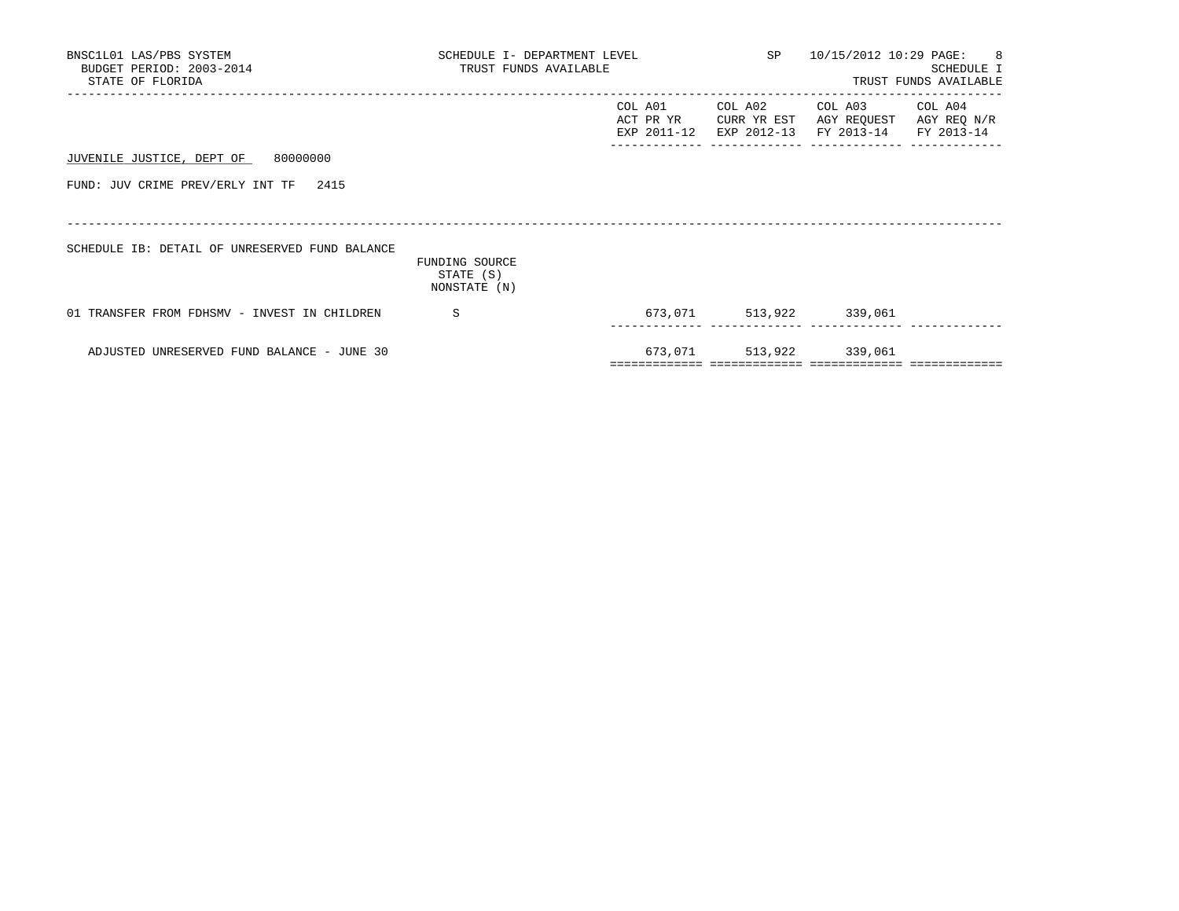| BNSC1L01 LAS/PBS SYSTEM<br>BUDGET PERIOD: 2003-2014<br>STATE OF FLORIDA | SCHEDULE I- DEPARTMENT LEVEL<br>TRUST FUNDS AVAILABLE |                                     | SP 10/15/2012 10:29 PAGE: 8           | SCHEDULE I<br>TRUST FUNDS AVAILABLE                     |             |
|-------------------------------------------------------------------------|-------------------------------------------------------|-------------------------------------|---------------------------------------|---------------------------------------------------------|-------------|
|                                                                         |                                                       | COL A01<br>ACT PR YR<br>EXP 2011-12 | COL A02<br>CURR YR EST<br>EXP 2012-13 | COL A03 COL A04<br>AGY REQUEST<br>FY 2013-14 FY 2013-14 | AGY REQ N/R |
| JUVENILE JUSTICE, DEPT OF 80000000                                      |                                                       |                                     |                                       |                                                         |             |
| FUND: JUV CRIME PREV/ERLY INT TF 2415                                   |                                                       |                                     |                                       |                                                         |             |
|                                                                         |                                                       |                                     |                                       |                                                         |             |
| SCHEDULE IB: DETAIL OF UNRESERVED FUND BALANCE                          | FUNDING SOURCE<br>STATE (S)                           |                                     |                                       |                                                         |             |
|                                                                         | NONSTATE (N)                                          |                                     |                                       |                                                         |             |
| 01 TRANSFER FROM FDHSMV - INVEST IN CHILDREN                            | - S                                                   |                                     |                                       | 673,071 513,922 339,061                                 |             |
| ADJUSTED UNRESERVED FUND BALANCE - JUNE 30                              |                                                       |                                     |                                       | 673,071 513,922 339,061                                 |             |
|                                                                         |                                                       |                                     |                                       |                                                         |             |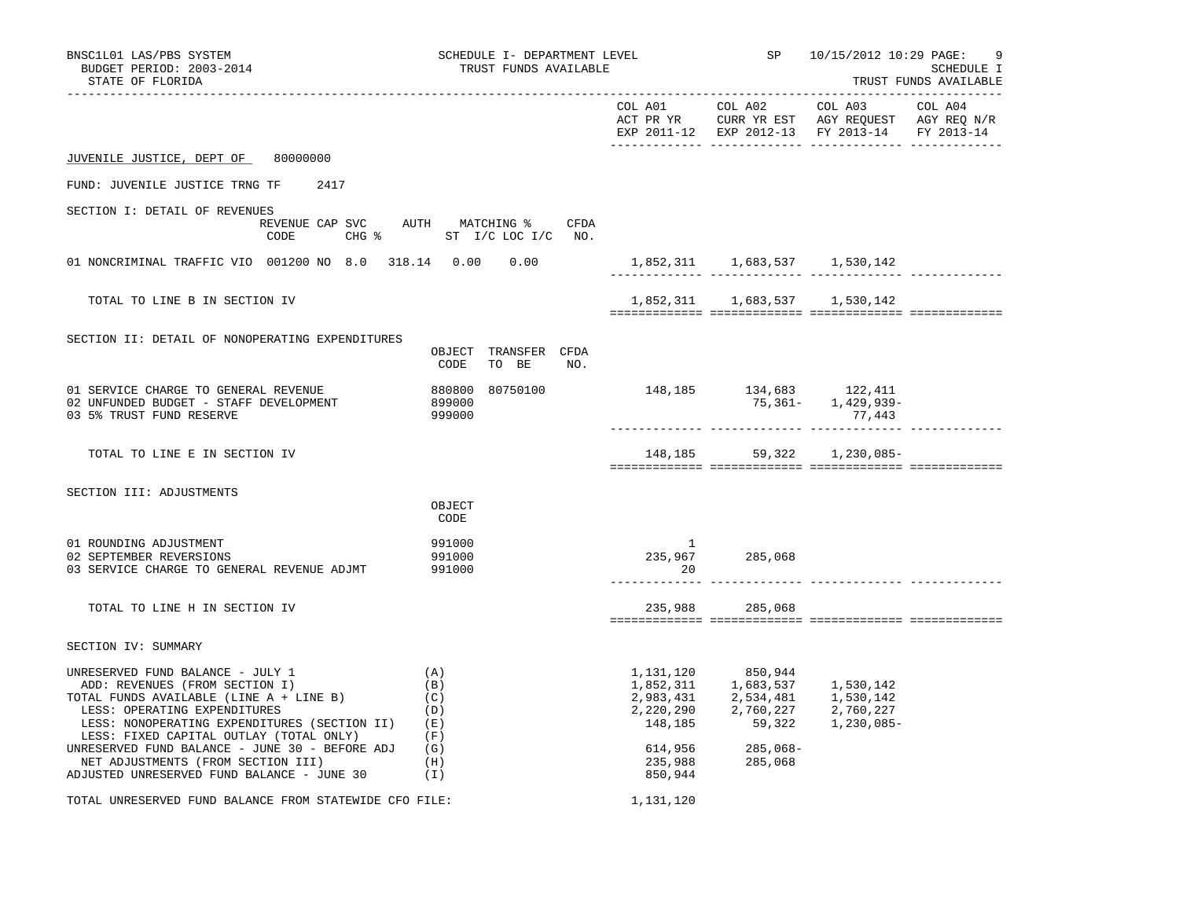| BNSC1L01 LAS/PBS SYSTEM<br>BUDGET PERIOD: 2003-2014<br>STATE OF FLORIDA                                                                                                                                                                                                                                                                    | SCHEDULE I- DEPARTMENT LEVEL<br>TRUST FUNDS AVAILABLE            |                                                      |                                             | SP 10/15/2012 10:29 PAGE:                                                                                                         | 9<br>SCHEDULE I<br>TRUST FUNDS AVAILABLE |
|--------------------------------------------------------------------------------------------------------------------------------------------------------------------------------------------------------------------------------------------------------------------------------------------------------------------------------------------|------------------------------------------------------------------|------------------------------------------------------|---------------------------------------------|-----------------------------------------------------------------------------------------------------------------------------------|------------------------------------------|
|                                                                                                                                                                                                                                                                                                                                            |                                                                  |                                                      |                                             | COL A01 COL A02 COL A03 COL A04<br>ACT PR YR CURR YR EST AGY REQUEST AGY REQ N/R<br>EXP 2011-12 EXP 2012-13 FY 2013-14 FY 2013-14 |                                          |
| JUVENILE JUSTICE, DEPT OF 80000000                                                                                                                                                                                                                                                                                                         |                                                                  |                                                      |                                             |                                                                                                                                   |                                          |
| FUND: JUVENILE JUSTICE TRNG TF 2417                                                                                                                                                                                                                                                                                                        |                                                                  |                                                      |                                             |                                                                                                                                   |                                          |
| SECTION I: DETAIL OF REVENUES<br>CODE                                                                                                                                                                                                                                                                                                      | REVENUE CAP SVC AUTH MATCHING % CFDA<br>CHG % ST I/C LOC I/C NO. |                                                      |                                             |                                                                                                                                   |                                          |
| 01 NONCRIMINAL TRAFFIC VIO 001200 NO 8.0 318.14 0.00 0.00                                                                                                                                                                                                                                                                                  |                                                                  |                                                      | 1,852,311 1,683,537 1,530,142               |                                                                                                                                   |                                          |
| TOTAL TO LINE B IN SECTION IV                                                                                                                                                                                                                                                                                                              |                                                                  |                                                      | 1,852,311 1,683,537 1,530,142               |                                                                                                                                   |                                          |
| SECTION II: DETAIL OF NONOPERATING EXPENDITURES                                                                                                                                                                                                                                                                                            | OBJECT TRANSFER CFDA<br>TO BE<br>CODE<br>NO.                     |                                                      |                                             |                                                                                                                                   |                                          |
| 01 SERVICE CHARGE TO GENERAL REVENUE<br>02 UNFUNDED BUDGET - STAFF DEVELOPMENT<br>03 5% TRUST FUND RESERVE                                                                                                                                                                                                                                 | 880800 80750100<br>899000<br>999000                              | $148,185$ $134,683$ $122,411$<br>$75,361 1,429,939-$ |                                             | 77,443                                                                                                                            |                                          |
| TOTAL TO LINE E IN SECTION IV                                                                                                                                                                                                                                                                                                              |                                                                  |                                                      |                                             | 148,185 59,322 1,230,085-                                                                                                         |                                          |
| SECTION III: ADJUSTMENTS                                                                                                                                                                                                                                                                                                                   |                                                                  |                                                      |                                             |                                                                                                                                   |                                          |
|                                                                                                                                                                                                                                                                                                                                            | OBJECT<br>CODE                                                   |                                                      |                                             |                                                                                                                                   |                                          |
| 01 ROUNDING ADJUSTMENT<br>02 SEPTEMBER REVERSIONS<br>03 SERVICE CHARGE TO GENERAL REVENUE ADJMT                                                                                                                                                                                                                                            | 991000<br>991000<br>991000                                       | $\sim$ 1<br>20                                       | 235,967 285,068                             |                                                                                                                                   |                                          |
| TOTAL TO LINE H IN SECTION IV                                                                                                                                                                                                                                                                                                              |                                                                  |                                                      | 235,988 285,068                             |                                                                                                                                   |                                          |
| SECTION IV: SUMMARY                                                                                                                                                                                                                                                                                                                        |                                                                  |                                                      |                                             |                                                                                                                                   |                                          |
| UNRESERVED FUND BALANCE - JULY 1<br>ADD: REVENUES (FROM SECTION I)<br>TOTAL FUNDS AVAILABLE (LINE A + LINE B)<br>LESS: OPERATING EXPENDITURES<br>LESS: NONOPERATING EXPENDITURES (SECTION II) (E)<br>LESS: FIXED CAPITAL OUTLAY (TOTAL ONLY)<br>UNRESERVED FUND BALANCE - JUNE 30 - BEFORE ADJ $(G)$<br>NET ADJUSTMENTS (FROM SECTION III) | (A)<br>(B)<br>(C)<br>(D)<br>(F)<br>(H)                           | 614,956<br>235,988                                   | 1, 131, 120 850, 944<br>285,068-<br>285,068 | 1,852,311 1,683,537 1,530,142<br>2,983,431 2,534,481 1,530,142<br>2,220,290 2,760,227 2,760,227<br>148,185 59,322 1,230,085-      |                                          |
| ADJUSTED UNRESERVED FUND BALANCE - JUNE 30                                                                                                                                                                                                                                                                                                 | (1)                                                              | 850,944                                              |                                             |                                                                                                                                   |                                          |
| TOTAL UNRESERVED FUND BALANCE FROM STATEWIDE CFO FILE:                                                                                                                                                                                                                                                                                     |                                                                  | 1,131,120                                            |                                             |                                                                                                                                   |                                          |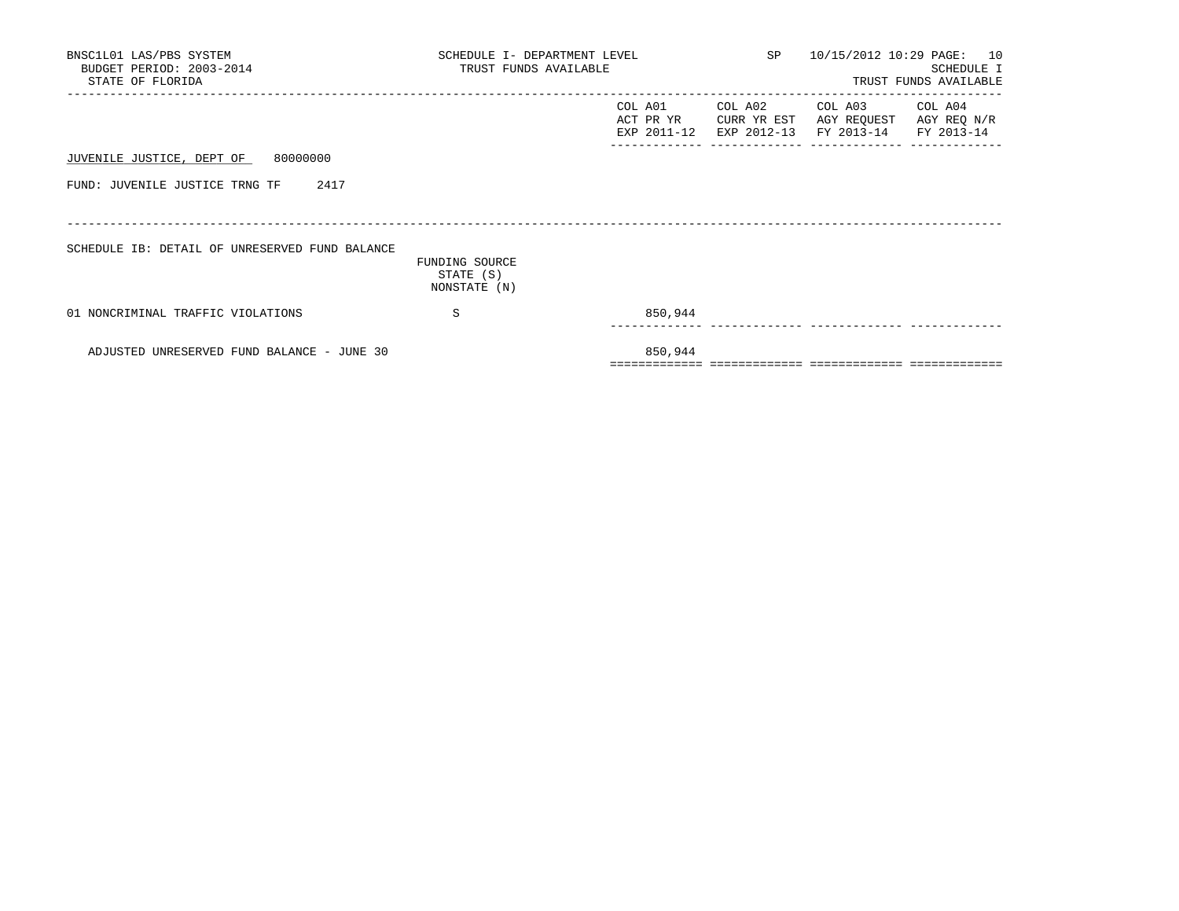| BNSC1L01 LAS/PBS SYSTEM<br>BUDGET PERIOD: 2003-2014<br>STATE OF FLORIDA | SCHEDULE I- DEPARTMENT LEVEL<br>TRUST FUNDS AVAILABLE |                                     | SP <sub>2</sub>                       | 10/15/2012 10:29 PAGE: 10                                           | SCHEDULE I<br>TRUST FUNDS AVAILABLE |
|-------------------------------------------------------------------------|-------------------------------------------------------|-------------------------------------|---------------------------------------|---------------------------------------------------------------------|-------------------------------------|
|                                                                         |                                                       | COL A01<br>ACT PR YR<br>EXP 2011-12 | COL A02<br>CURR YR EST<br>EXP 2012-13 | COL A03 COL A04<br>AGY REQUEST AGY REQ N/R<br>FY 2013-14 FY 2013-14 |                                     |
| JUVENILE JUSTICE, DEPT OF 80000000                                      |                                                       |                                     |                                       |                                                                     |                                     |
| 2417<br>FUND: JUVENILE JUSTICE TRNG TF                                  |                                                       |                                     |                                       |                                                                     |                                     |
|                                                                         |                                                       |                                     |                                       |                                                                     |                                     |
| SCHEDULE IB: DETAIL OF UNRESERVED FUND BALANCE                          | FUNDING SOURCE                                        |                                     |                                       |                                                                     |                                     |
|                                                                         | STATE (S)<br>NONSTATE (N)                             |                                     |                                       |                                                                     |                                     |
| 01 NONCRIMINAL TRAFFIC VIOLATIONS                                       | S                                                     | 850,944                             |                                       |                                                                     |                                     |
| ADJUSTED UNRESERVED FUND BALANCE - JUNE 30                              |                                                       | 850,944                             |                                       |                                                                     |                                     |
|                                                                         |                                                       |                                     |                                       |                                                                     |                                     |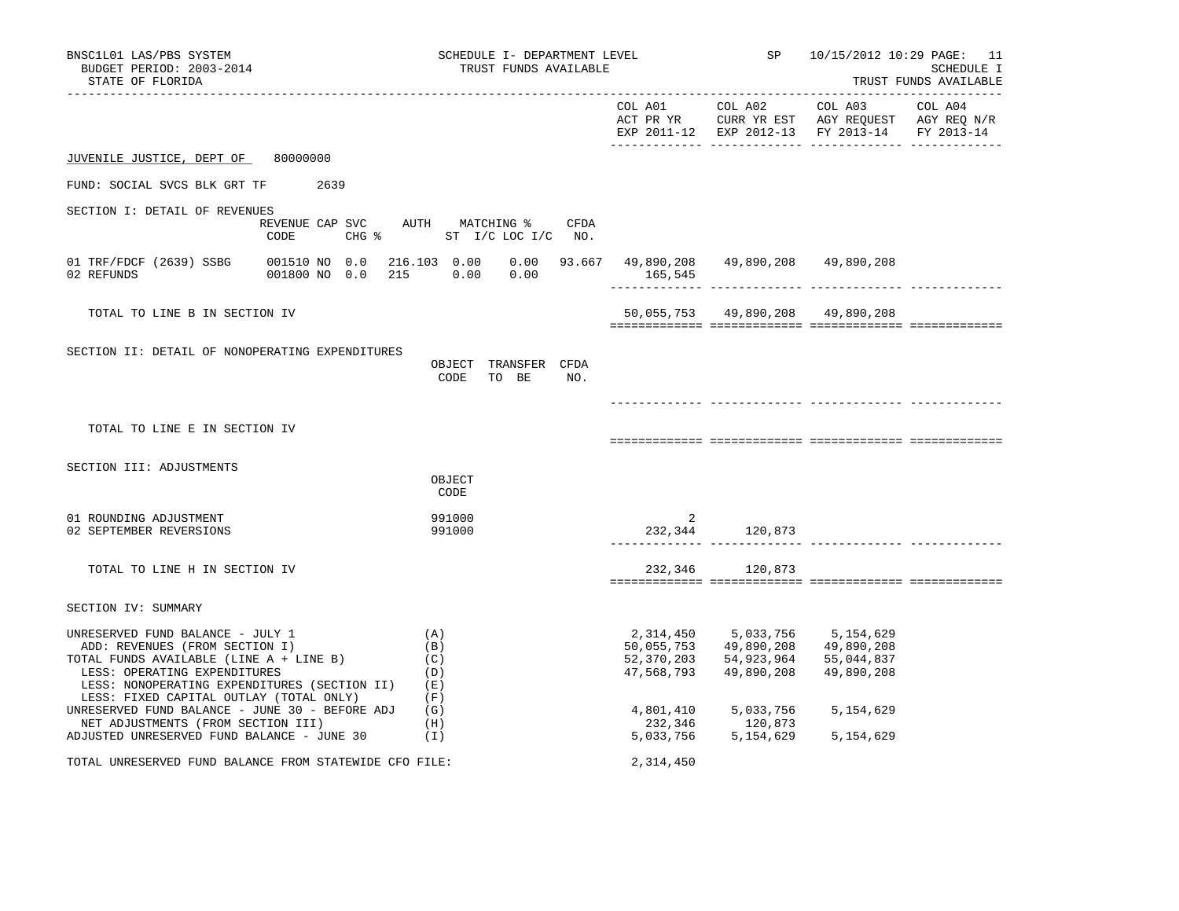| BNSC1L01 LAS/PBS SYSTEM<br>BUDGET PERIOD: 2003-2014<br>STATE OF FLORIDA                                                                                                                                                                                                                    | SCHEDULE I- DEPARTMENT LEVEL<br>TRUST FUNDS AVAILABLE                                    |                                                                  |                                                                  | SP 10/15/2012 10:29 PAGE: 11                                                                              | SCHEDULE I<br>TRUST FUNDS AVAILABLE |
|--------------------------------------------------------------------------------------------------------------------------------------------------------------------------------------------------------------------------------------------------------------------------------------------|------------------------------------------------------------------------------------------|------------------------------------------------------------------|------------------------------------------------------------------|-----------------------------------------------------------------------------------------------------------|-------------------------------------|
|                                                                                                                                                                                                                                                                                            |                                                                                          |                                                                  | COL A01 COL A02                                                  | COL A03<br>ACT PR YR CURR YR EST AGY REQUEST AGY REQ N/R<br>EXP 2011-12 EXP 2012-13 FY 2013-14 FY 2013-14 | COL A04                             |
| JUVENILE JUSTICE, DEPT OF<br>80000000                                                                                                                                                                                                                                                      |                                                                                          |                                                                  |                                                                  |                                                                                                           |                                     |
| FUND: SOCIAL SVCS BLK GRT TF<br>2639                                                                                                                                                                                                                                                       |                                                                                          |                                                                  |                                                                  |                                                                                                           |                                     |
| SECTION I: DETAIL OF REVENUES<br>CODE<br>$CHG$ %                                                                                                                                                                                                                                           | REVENUE CAP SVC AUTH MATCHING %<br>CFDA<br>ST I/C LOC I/C NO.                            |                                                                  |                                                                  |                                                                                                           |                                     |
| 01 TRF/FDCF (2639) SSBG<br>02 REFUNDS<br>001800 NO 0.0                                                                                                                                                                                                                                     | 001510 NO 0.0 216.103 0.00 0.00 93.667 49,890,208 49,890,208 49,890,208<br>215 0.00 0.00 | 165,545                                                          |                                                                  |                                                                                                           |                                     |
| TOTAL TO LINE B IN SECTION IV                                                                                                                                                                                                                                                              |                                                                                          |                                                                  | 50,055,753 49,890,208 49,890,208                                 |                                                                                                           |                                     |
| SECTION II: DETAIL OF NONOPERATING EXPENDITURES                                                                                                                                                                                                                                            | OBJECT TRANSFER CFDA<br>CODE<br>TO BE<br>NO.                                             |                                                                  |                                                                  |                                                                                                           |                                     |
| TOTAL TO LINE E IN SECTION IV                                                                                                                                                                                                                                                              |                                                                                          |                                                                  |                                                                  |                                                                                                           |                                     |
| SECTION III: ADJUSTMENTS                                                                                                                                                                                                                                                                   | OBJECT<br>CODE                                                                           |                                                                  |                                                                  |                                                                                                           |                                     |
| 01 ROUNDING ADJUSTMENT<br>02 SEPTEMBER REVERSIONS                                                                                                                                                                                                                                          | 991000<br>991000                                                                         | 2                                                                | 232,344 120,873                                                  |                                                                                                           |                                     |
| TOTAL TO LINE H IN SECTION IV                                                                                                                                                                                                                                                              |                                                                                          |                                                                  | 232,346 120,873                                                  |                                                                                                           |                                     |
| SECTION IV: SUMMARY                                                                                                                                                                                                                                                                        |                                                                                          |                                                                  |                                                                  |                                                                                                           |                                     |
| UNRESERVED FUND BALANCE - JULY 1<br>ADD: REVENUES (FROM SECTION I)<br>TOTAL FUNDS AVAILABLE (LINE A + LINE B)<br>LESS: OPERATING EXPENDITURES<br>LESS: NONOPERATING EXPENDITURES (SECTION II)<br>LESS: FIXED CAPITAL OUTLAY (TOTAL ONLY)<br>UNRESERVED FUND BALANCE - JUNE 30 - BEFORE ADJ | (A)<br>(B)<br>(C)<br>(D)<br>(E)<br>(F)<br>(G)                                            | 2,314,450<br>50,055,753<br>52,370,203<br>47,568,793<br>4,801,410 | 5,033,756<br>49,890,208<br>54,923,964<br>49,890,208<br>5,033,756 | 5,154,629<br>49,890,208<br>55,044,837<br>49,890,208<br>5,154,629                                          |                                     |
| NET ADJUSTMENTS (FROM SECTION III)<br>ADJUSTED UNRESERVED FUND BALANCE - JUNE 30                                                                                                                                                                                                           | (H)<br>(1)                                                                               | 232,346<br>5,033,756                                             | 120,873<br>5,154,629                                             | 5, 154, 629                                                                                               |                                     |
| TOTAL UNRESERVED FUND BALANCE FROM STATEWIDE CFO FILE:                                                                                                                                                                                                                                     |                                                                                          | 2,314,450                                                        |                                                                  |                                                                                                           |                                     |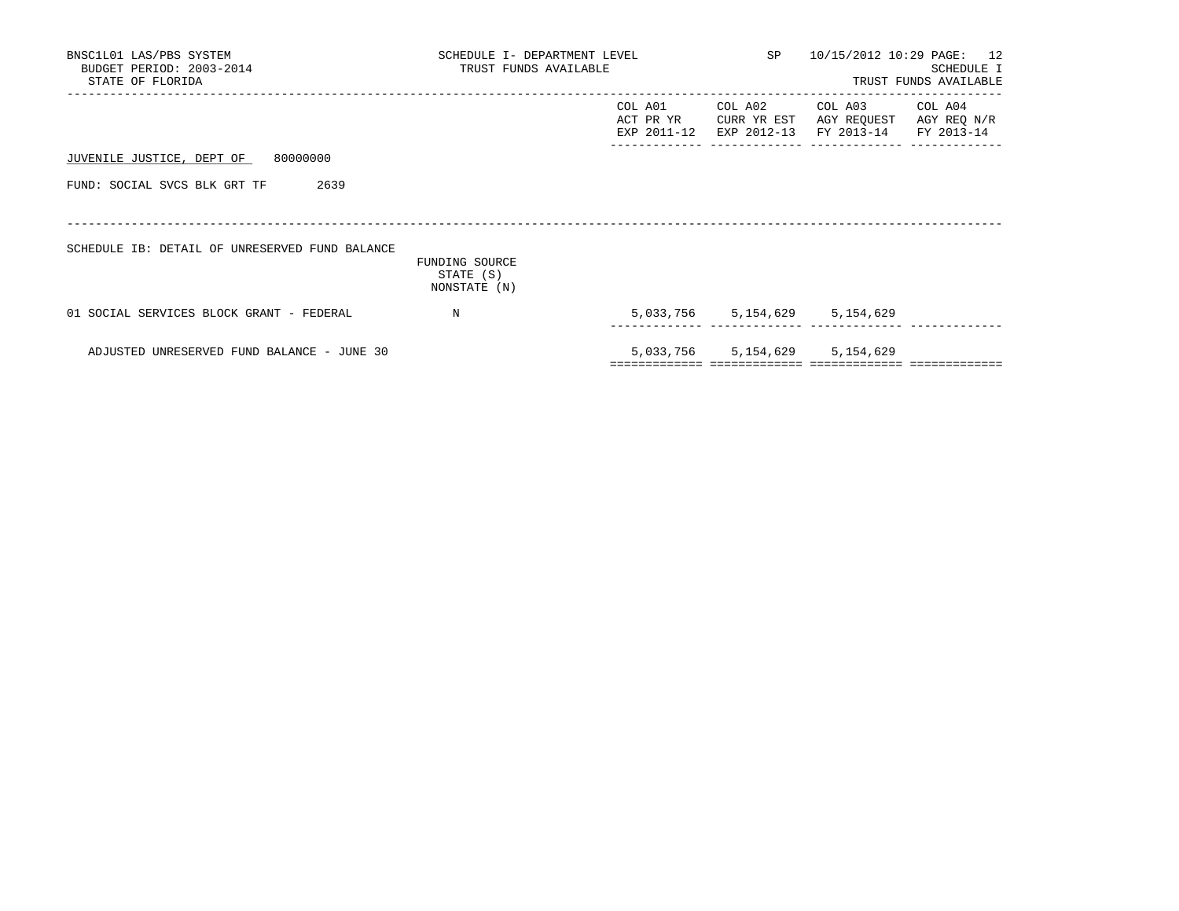| BNSC1L01 LAS/PBS SYSTEM<br>BUDGET PERIOD: 2003-2014<br>STATE OF FLORIDA | SCHEDULE I- DEPARTMENT LEVEL<br>TRUST FUNDS AVAILABLE |                                       | SP 10/15/2012 10:29 PAGE: 12          | SCHEDULE I<br>TRUST FUNDS AVAILABLE             |                        |
|-------------------------------------------------------------------------|-------------------------------------------------------|---------------------------------------|---------------------------------------|-------------------------------------------------|------------------------|
|                                                                         |                                                       | COL A01<br>ACT PR YR<br>EXP 2011-12   | COL A02<br>CURR YR EST<br>EXP 2012-13 | COL A03<br>AGY REQUEST<br>FY 2013-14 FY 2013-14 | COL A04<br>AGY REQ N/R |
| JUVENILE JUSTICE, DEPT OF 80000000                                      |                                                       |                                       |                                       |                                                 |                        |
| FUND: SOCIAL SVCS BLK GRT TF<br>2639                                    |                                                       |                                       |                                       |                                                 |                        |
| SCHEDULE IB: DETAIL OF UNRESERVED FUND BALANCE                          | FUNDING SOURCE<br>STATE (S)<br>NONSTATE (N)           |                                       |                                       |                                                 |                        |
| 01 SOCIAL SERVICES BLOCK GRANT - FEDERAL                                | $_{\rm N}$                                            |                                       |                                       | 5,033,756 5,154,629 5,154,629                   |                        |
| ADJUSTED UNRESERVED FUND BALANCE - JUNE 30                              |                                                       | ===================================== |                                       | 5,033,756 5,154,629 5,154,629                   |                        |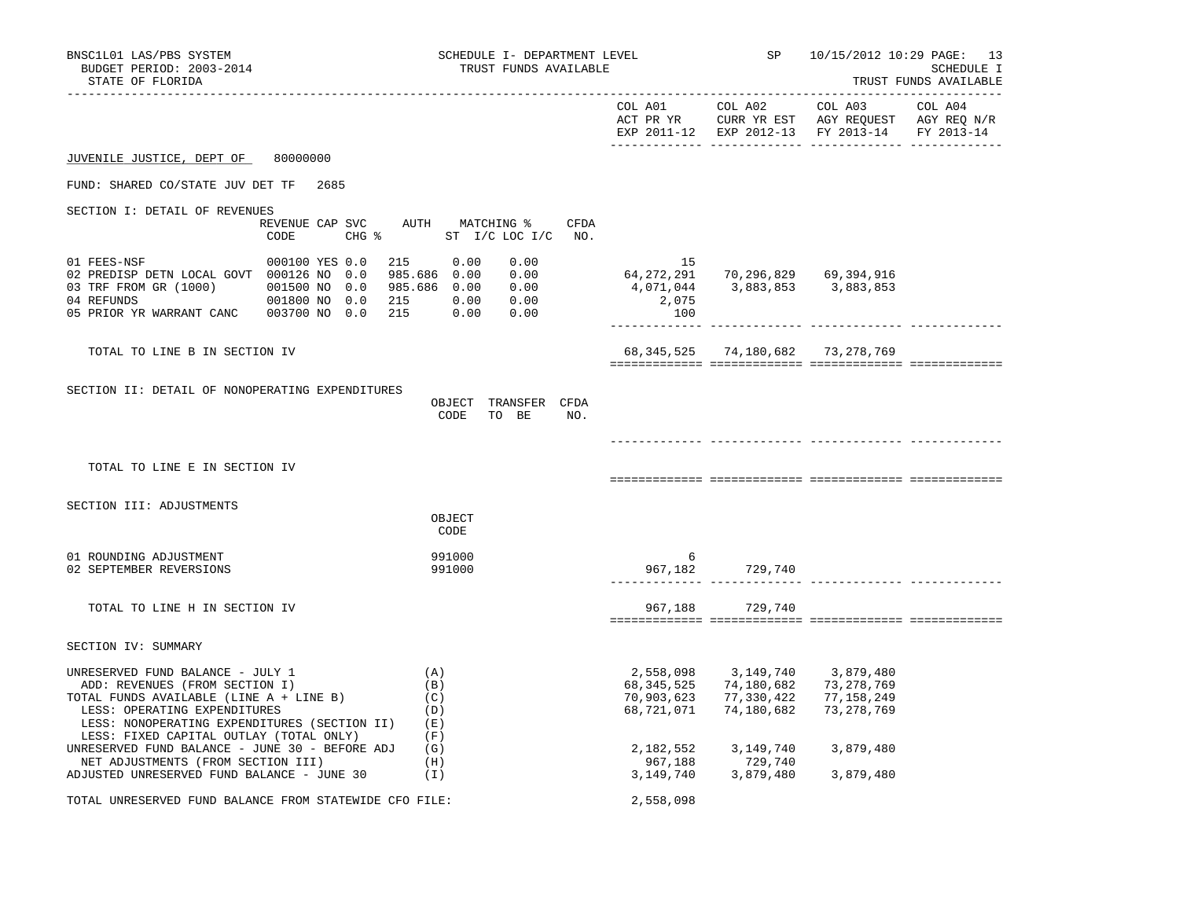| BNSC1L01 LAS/PBS SYSTEM<br>BUDGET PERIOD: 2003-2014<br>STATE OF FLORIDA                                                                                                                                                                      | SCHEDULE I- DEPARTMENT LEVEL<br>TRUST FUNDS AVAILABLE<br>------------------- |                                                                                      |                                                        | <b>SP</b>                                                                                                                                                                                          | 10/15/2012 10:29 PAGE: 13<br>SCHEDULE I<br>TRUST FUNDS AVAILABLE                                                                  |  |
|----------------------------------------------------------------------------------------------------------------------------------------------------------------------------------------------------------------------------------------------|------------------------------------------------------------------------------|--------------------------------------------------------------------------------------|--------------------------------------------------------|----------------------------------------------------------------------------------------------------------------------------------------------------------------------------------------------------|-----------------------------------------------------------------------------------------------------------------------------------|--|
|                                                                                                                                                                                                                                              |                                                                              |                                                                                      |                                                        |                                                                                                                                                                                                    | COL A01 COL A02 COL A03 COL A04<br>ACT PR YR CURR YR EST AGY REQUEST AGY REQ N/R<br>EXP 2011-12 EXP 2012-13 FY 2013-14 FY 2013-14 |  |
| JUVENILE JUSTICE, DEPT OF                                                                                                                                                                                                                    | 80000000                                                                     |                                                                                      |                                                        |                                                                                                                                                                                                    |                                                                                                                                   |  |
| FUND: SHARED CO/STATE JUV DET TF 2685                                                                                                                                                                                                        |                                                                              |                                                                                      |                                                        |                                                                                                                                                                                                    |                                                                                                                                   |  |
| SECTION I: DETAIL OF REVENUES                                                                                                                                                                                                                |                                                                              |                                                                                      |                                                        |                                                                                                                                                                                                    |                                                                                                                                   |  |
|                                                                                                                                                                                                                                              | REVENUE CAP SVC AUTH MATCHING %<br>CODE                                      | CFDA<br>CHG % ST I/C LOC I/C NO.                                                     |                                                        |                                                                                                                                                                                                    |                                                                                                                                   |  |
| 01 FEES-NSF<br>02 PREDISP DETN LOCAL GOVT 000126 NO 0.0<br>03 TRF FROM GR (1000) 001500 NO 0.0                                                                                                                                               | 000100 YES 0.0                                                               | 215 0.00<br>0.00<br>985.686 0.00<br>$0.00$<br>$0.00$<br>985.686 0.00<br>0.00<br>0.00 | 15<br>64,272,291 70,296,829 69,394,916<br>2,075<br>100 | 4,071,044 3,883,853 3,883,853                                                                                                                                                                      |                                                                                                                                   |  |
| TOTAL TO LINE B IN SECTION IV                                                                                                                                                                                                                |                                                                              |                                                                                      |                                                        | 68,345,525 74,180,682 73,278,769                                                                                                                                                                   |                                                                                                                                   |  |
| SECTION II: DETAIL OF NONOPERATING EXPENDITURES                                                                                                                                                                                              |                                                                              | OBJECT TRANSFER CFDA<br>CODE TO BE<br>NO.                                            |                                                        |                                                                                                                                                                                                    |                                                                                                                                   |  |
| TOTAL TO LINE E IN SECTION IV                                                                                                                                                                                                                |                                                                              |                                                                                      |                                                        |                                                                                                                                                                                                    |                                                                                                                                   |  |
| SECTION III: ADJUSTMENTS                                                                                                                                                                                                                     |                                                                              | OBJECT<br>CODE                                                                       |                                                        |                                                                                                                                                                                                    |                                                                                                                                   |  |
| 01 ROUNDING ADJUSTMENT<br>02 SEPTEMBER REVERSIONS                                                                                                                                                                                            |                                                                              | 991000<br>991000                                                                     | 6                                                      | 967, 182 729, 740                                                                                                                                                                                  |                                                                                                                                   |  |
| TOTAL TO LINE H IN SECTION IV                                                                                                                                                                                                                |                                                                              |                                                                                      |                                                        | 967,188 729,740                                                                                                                                                                                    |                                                                                                                                   |  |
| SECTION IV: SUMMARY                                                                                                                                                                                                                          |                                                                              |                                                                                      |                                                        |                                                                                                                                                                                                    |                                                                                                                                   |  |
| UNRESERVED FUND BALANCE - JULY 1<br>ADD: REVENUES (FROM SECTION I)<br>TOTAL FUNDS AVAILABLE (LINE A + LINE B)<br>LESS: OPERATING EXPENDITURES<br>LESS: NONOPERATING EXPENDITURES (SECTION II) (E)<br>LESS: FIXED CAPITAL OUTLAY (TOTAL ONLY) |                                                                              | (A)<br>(B)<br>(C)<br>(D)<br>(F)                                                      | 2,558,098<br>68,345,525<br>70,903,623<br>68,721,071    | 3,149,740<br>74,180,682<br>77,330,422<br>74,180,682                                                                                                                                                | 3,879,480<br>73,278,769<br>77,158,249<br>73,278,769                                                                               |  |
| UNRESERVED FUND BALANCE - JUNE 30 - BEFORE ADJ<br>NET ADJUSTMENTS (FROM SECTION III)<br>ADJUSTED UNRESERVED FUND BALANCE - JUNE 30                                                                                                           |                                                                              | (G)<br>(H)<br>(I)                                                                    |                                                        | $\begin{array}{cccc} 2\, , 182 \, , 552 & 3 \, , 149 \, , 740 & 3 \, , 879 \, , 480 \\ 967 \, , 188 & 729 \, , 740 \\ 3 \, , 149 \, , 740 & 3 \, , 879 \, , 480 & 3 \, , 879 \, , 480 \end{array}$ |                                                                                                                                   |  |
| TOTAL UNRESERVED FUND BALANCE FROM STATEWIDE CFO FILE:                                                                                                                                                                                       |                                                                              |                                                                                      | 2,558,098                                              |                                                                                                                                                                                                    |                                                                                                                                   |  |